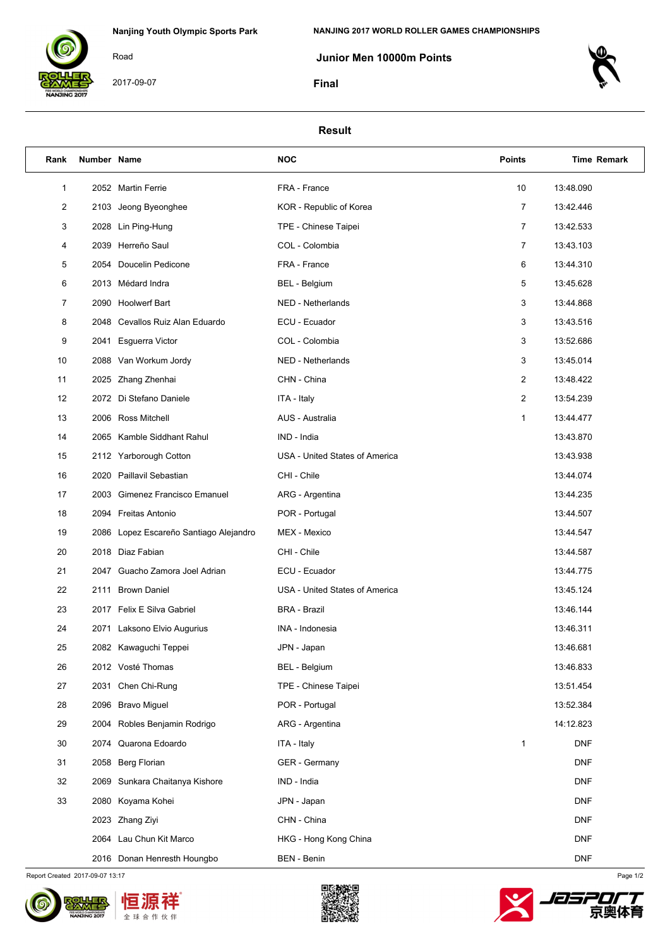

2017-09-07

Road

 **Junior Men 10000m Points**

**Final**



## **Result**

| Rank | Number Name |                                        | <b>NOC</b>                     | <b>Points</b>  | <b>Time Remark</b> |
|------|-------------|----------------------------------------|--------------------------------|----------------|--------------------|
| 1    |             | 2052 Martin Ferrie                     | FRA - France                   | 10             | 13:48.090          |
| 2    |             | 2103 Jeong Byeonghee                   | KOR - Republic of Korea        | $\overline{7}$ | 13:42.446          |
| 3    |             | 2028 Lin Ping-Hung                     | TPE - Chinese Taipei           | $\overline{7}$ | 13:42.533          |
| 4    |             | 2039 Herreño Saul                      | COL - Colombia                 | $\overline{7}$ | 13:43.103          |
| 5    |             | 2054 Doucelin Pedicone                 | FRA - France                   | 6              | 13:44.310          |
| 6    |             | 2013 Médard Indra                      | BEL - Belgium                  | 5              | 13:45.628          |
| 7    |             | 2090 Hoolwerf Bart                     | NED - Netherlands              | 3              | 13:44.868          |
| 8    |             | 2048 Cevallos Ruiz Alan Eduardo        | ECU - Ecuador                  | 3              | 13:43.516          |
| 9    |             | 2041 Esguerra Victor                   | COL - Colombia                 | 3              | 13:52.686          |
| 10   |             | 2088 Van Workum Jordy                  | NED - Netherlands              | 3              | 13:45.014          |
| 11   |             | 2025 Zhang Zhenhai                     | CHN - China                    | $\overline{c}$ | 13:48.422          |
| 12   |             | 2072 Di Stefano Daniele                | ITA - Italy                    | $\overline{c}$ | 13:54.239          |
| 13   |             | 2006 Ross Mitchell                     | <b>AUS - Australia</b>         | 1              | 13:44.477          |
| 14   |             | 2065 Kamble Siddhant Rahul             | IND - India                    |                | 13:43.870          |
| 15   |             | 2112 Yarborough Cotton                 | USA - United States of America |                | 13:43.938          |
| 16   |             | 2020 Paillavil Sebastian               | CHI - Chile                    |                | 13:44.074          |
| 17   |             | 2003 Gimenez Francisco Emanuel         | ARG - Argentina                |                | 13:44.235          |
| 18   |             | 2094 Freitas Antonio                   | POR - Portugal                 |                | 13:44.507          |
| 19   |             | 2086 Lopez Escareño Santiago Alejandro | MEX - Mexico                   |                | 13:44.547          |
| 20   |             | 2018 Diaz Fabian                       | CHI - Chile                    |                | 13:44.587          |
| 21   |             | 2047 Guacho Zamora Joel Adrian         | ECU - Ecuador                  |                | 13:44.775          |
| 22   |             | 2111 Brown Daniel                      | USA - United States of America |                | 13:45.124          |
| 23   |             | 2017 Felix E Silva Gabriel             | <b>BRA - Brazil</b>            |                | 13:46.144          |
| 24   |             | 2071 Laksono Elvio Augurius            | INA - Indonesia                |                | 13:46.311          |
| 25   |             | 2082 Kawaguchi Teppei                  | JPN - Japan                    |                | 13:46.681          |
| 26   |             | 2012 Vosté Thomas                      | BEL - Belgium                  |                | 13:46.833          |
| 27   |             | 2031 Chen Chi-Rung                     | TPE - Chinese Taipei           |                | 13:51.454          |
| 28   |             | 2096 Bravo Miguel                      | POR - Portugal                 |                | 13:52.384          |
| 29   |             | 2004 Robles Benjamin Rodrigo           | ARG - Argentina                |                | 14:12.823          |
| 30   |             | 2074 Quarona Edoardo                   | ITA - Italy                    | 1              | <b>DNF</b>         |
| 31   |             | 2058 Berg Florian                      | GER - Germany                  |                | <b>DNF</b>         |
| 32   |             | 2069 Sunkara Chaitanya Kishore         | IND - India                    |                | <b>DNF</b>         |
| 33   |             | 2080 Koyama Kohei                      | JPN - Japan                    |                | <b>DNF</b>         |
|      |             | 2023 Zhang Ziyi                        | CHN - China                    |                | <b>DNF</b>         |
|      |             | 2064 Lau Chun Kit Marco                | HKG - Hong Kong China          |                | <b>DNF</b>         |
|      |             | 2016 Donan Henresth Houngbo            | BEN - Benin                    |                | <b>DNF</b>         |

Report Created 2017-09-07 13:17 Page 1/2



ŧ